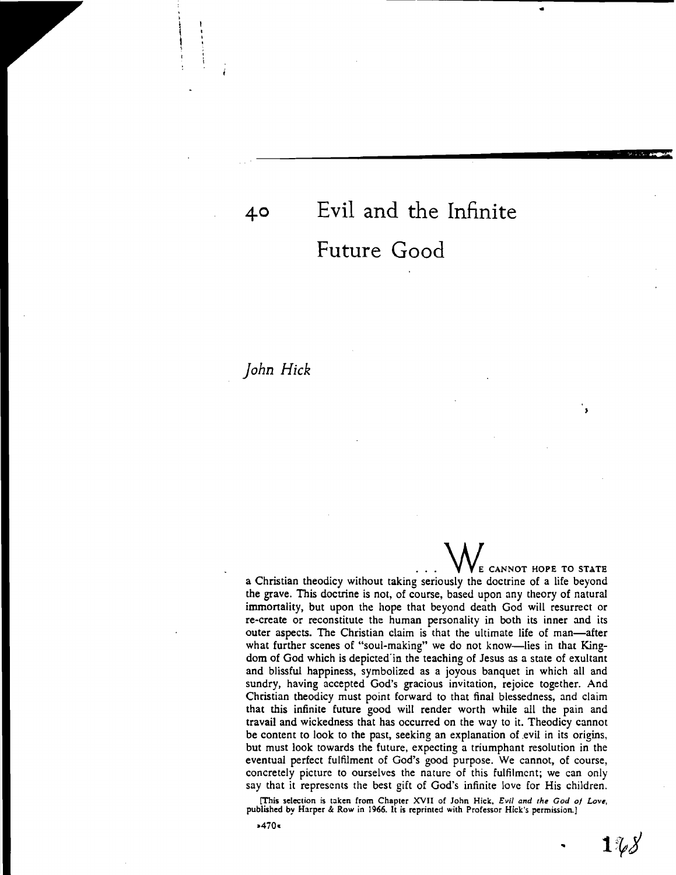## **40 Evil and the Infinite Future Good**

\_\_\_\_\_\_\_\_\_\_\_\_\_\_\_\_\_\_\_\_••••••••••II!I!!I!:li:=\_~

 $\mathbf{e}^{\mathbf{e}}$  , the contract of the contract of the contract of the contract of the contract of the contract of the contract of the contract of the contract of the contract of the contract of the contract of the contrac

## *John Hick*

 $\vert \ \ \ \cdot$  $\vert$   $\vert$  $!$ 

> CANNOT HOPE TO STATE a Christian theodicy without taking seriously the doctrine of a life beyond the grave. This doctrine is not, of course, based upon any theory of natural immortality, but upon the hope that beyond death God will resurrect or re-create or reconstitule the human personality in both its inner and its outer aspects. The Christian claim is that the ultimate life of man-after what further scenes of "soul-making" we do not know-lies in that Kingdom of God which is depicted in the teaching of Jesus as a state of exultant and blissful happiness, symbolized as a joyous banquet in which all and sundry, having accepted God's gracious invitation, rejoice together. And Christian theodicy must point forward to that final blessedness, and claim that this infinite future good will render worth while all the pain and travail and wickedness that has occurred on the way to it. Theodicy cannot be content to look to the past, seeking an explanation of evil in its origins, but must look towards the future, expecting a triumphant resolution in the eventual perfect fulfilment of God's good purpose. We cannot, of course, concretely picture to ourselves the nature of this fulfilment; we can only say that it represents the best gift of God's infinite love for His children.

> [This selection is taken from Chapter XVII of John Hick, *Evil and the God of Love,*  published by Harper & Row in 1966. It is reprinted with Professor Hick's permission.)

 $-470$ 

 $1\,\%$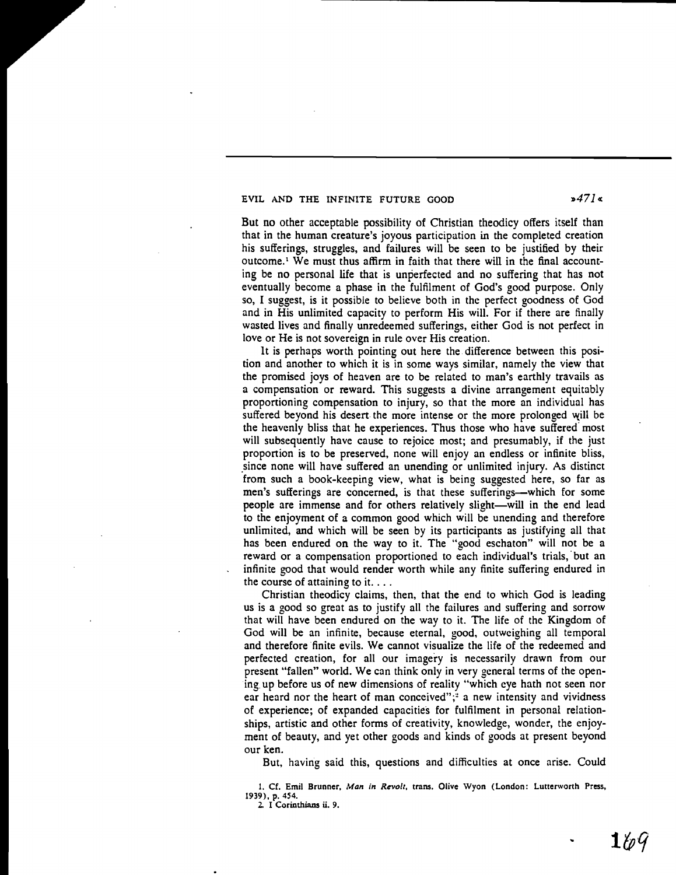## EVIL AND THE INFINITE FUTURE GOOD  $\frac{3471}{8}$

But no other acceptable possibility of Christian theodicy offers itself than that in the human creature's joyous participation in the completed creation his sufferings, struggles, and failures will be seen to be justified by their outcome.<sup>1</sup> We must thus affirm in faith that there will in the final accounting be no personal life that is unperfected and no suffering that has not eventually become a phase in the fulfilment of God's good purpose. Only so, I suggest, is it possible to believe both in the perfect goodness of God and in His unlimited capacity to perform His will. For if there are finally wasted lives and finally unredeemed sufferings, either God is not perfect in love or He is not sovereign in rule over His creation.

It is perhaps worth pointing out here the difference between this position and another to which it is in some ways similar, namely the view that the promised joys of heaven are to be related to man's earthly travails as a compensation or reward. This suggests a divine arrangement equitably proportioning compensation to injury, so that the more an individual has suffered beyond his desert the more intense or the more prolonged will be the heavenly bliss that he experiences. Thus those who have suffered' most will subsequently have cause to rejoice most; and presumably, if the just proportion is to be preserved, none will enjoy an endless or infinite bliss, since none will have suffered an unending or unlimited injury. As distinct from such a book-keeping view, what is being suggested here, so far as men's sufferings are concerned, is that these sufferings—which for some people are immense and for others relatively slight-will in the end lead to the enjoyment of a common good which will be unending and therefore unlimited, and which will be seen by its participants as justifying all that has been endured on the way to it. The "good eschaton" will not be a reward or a compensation proportioned to each individual's trials, but an infinite good that would render worth while any finite suffering endured in the course of attaining to it....

Christian theodicy claims, then, that the end to which God is leading us is a good so great as to justify all the failures and suffering and sorrow that will have been endured on the way to it. The life of the Kingdom of God will be an infinite, because eternal, good. outweighing all temporal and therefore finite evils. We cannot visualize the life of the redeemed and perfected creation, for all our imagery is necessarily drawn from our present "fallen" world. We can think only in very general terms of the opening up before us of new dimensions of reality "which eye hath not seen nor ear heard nor the heart of man conceived"; $\degree$  a new intensity and vividness of experience; of expanded capacities for fulfilment in personal relationships, artistic and other forms of creativity, knowledge, wonder, the enjoyment of beauty, and yet other goods and kinds of goods at present beyond our ken.

But, having said this, questions and difficulties at once arise. Could

1. Cf. Emil Brunner, *Man in Revolt*, trans. Olive Wyon (London: Lutterworth Press, 1939), p. 454.

2. I Corinthians ii. 9.